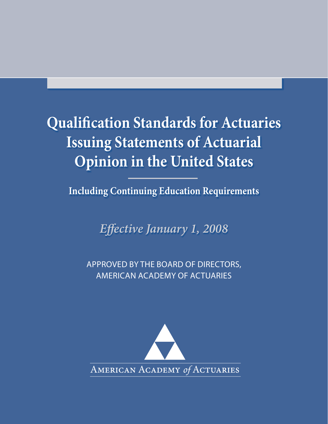# **Qualifi cation Standards for Actuaries Issuing Statements of Actuarial Opinion in the United States**

**Including Continuing Education Requirements**

*Eff ective January 1, 2008*

APPROVED BY THE BOARD OF DIRECTORS, AMERICAN ACADEMY OF ACTUARIES

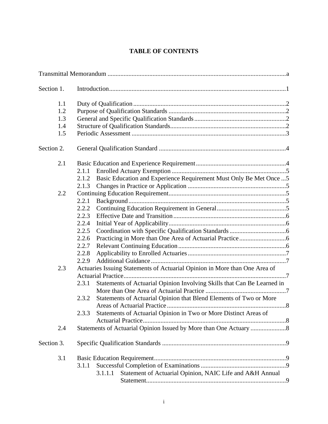# **TABLE OF CONTENTS**

| Section 1. |                                                                                  |  |
|------------|----------------------------------------------------------------------------------|--|
| 1.1        |                                                                                  |  |
| 1.2        |                                                                                  |  |
| 1.3        |                                                                                  |  |
| 1.4        |                                                                                  |  |
| 1.5        |                                                                                  |  |
| Section 2. |                                                                                  |  |
| 2.1        |                                                                                  |  |
|            | 2.1.1                                                                            |  |
|            | Basic Education and Experience Requirement Must Only Be Met Once  5<br>2.1.2     |  |
|            | 2.1.3                                                                            |  |
| 2.2        |                                                                                  |  |
|            | 2.2.1                                                                            |  |
|            | 2.2.2                                                                            |  |
|            | 2.2.3                                                                            |  |
|            | 2.2.4                                                                            |  |
|            | 2.2.5                                                                            |  |
|            | 2.2.6                                                                            |  |
|            | 2.2.7                                                                            |  |
|            | 2.2.8                                                                            |  |
|            | 2.2.9                                                                            |  |
| 2.3        | Actuaries Issuing Statements of Actuarial Opinion in More than One Area of       |  |
|            | Statements of Actuarial Opinion Involving Skills that Can Be Learned in<br>2.3.1 |  |
|            |                                                                                  |  |
|            |                                                                                  |  |
|            | Statements of Actuarial Opinion that Blend Elements of Two or More<br>2.3.2      |  |
|            | Statements of Actuarial Opinion in Two or More Distinct Areas of<br>2.3.3        |  |
| 2.4        |                                                                                  |  |
|            |                                                                                  |  |
| Section 3. |                                                                                  |  |
| 3.1        |                                                                                  |  |
|            | 3.1.1                                                                            |  |
|            | Statement of Actuarial Opinion, NAIC Life and A&H Annual<br>3.1.1.1              |  |
|            |                                                                                  |  |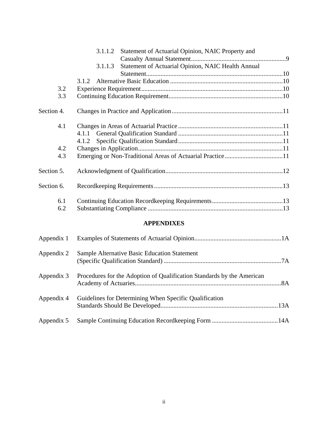|            | Statement of Actuarial Opinion, NAIC Property and<br>3.1.1.2  |  |
|------------|---------------------------------------------------------------|--|
|            |                                                               |  |
|            | Statement of Actuarial Opinion, NAIC Health Annual<br>3.1.1.3 |  |
|            |                                                               |  |
|            | 3.1.2                                                         |  |
| 3.2        |                                                               |  |
| 3.3        |                                                               |  |
| Section 4. |                                                               |  |
| 4.1        |                                                               |  |
|            |                                                               |  |
|            | 4.1.2                                                         |  |
| 4.2        |                                                               |  |
| 4.3        |                                                               |  |
| Section 5. |                                                               |  |
| Section 6. |                                                               |  |
| 6.1        |                                                               |  |
| 6.2        |                                                               |  |
|            | <b>APPENDIXES</b>                                             |  |
| Appendix 1 |                                                               |  |
| Appendix 2 | <b>Sample Alternative Basic Education Statement</b>           |  |

(Specific Qualification Standard) .........................................................................7A

Academy of Actuaries...........................................................................................8A

Standards Should Be Developed.........................................................................13A

Appendix 3 Procedures for the Adoption of Qualification Standards by the American

Appendix 4 Guidelines for Determining When Specific Qualification

Appendix 5 Sample Continuing Education Recordkeeping Form .........................................14A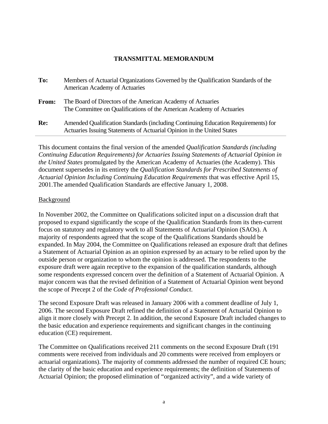## **TRANSMITTAL MEMORANDUM**

| To:   | Members of Actuarial Organizations Governed by the Qualification Standards of the<br>American Academy of Actuaries                                          |
|-------|-------------------------------------------------------------------------------------------------------------------------------------------------------------|
| From: | The Board of Directors of the American Academy of Actuaries<br>The Committee on Qualifications of the American Academy of Actuaries                         |
| Re:   | Amended Qualification Standards (including Continuing Education Requirements) for<br>Actuaries Issuing Statements of Actuarial Opinion in the United States |

This document contains the final version of the amended *Qualification Standards (including Continuing Education Requirements) for Actuaries Issuing Statements of Actuarial Opinion in the United States* promulgated by the American Academy of Actuaries (the Academy). This document supersedes in its entirety the *Qualification Standards for Prescribed Statements of Actuarial Opinion Including Continuing Education Requirements* that was effective April 15, 2001.The amended Qualification Standards are effective January 1, 2008.

#### Background

In November 2002, the Committee on Qualifications solicited input on a discussion draft that proposed to expand significantly the scope of the Qualification Standards from its then-current focus on statutory and regulatory work to all Statements of Actuarial Opinion (SAOs). A majority of respondents agreed that the scope of the Qualifications Standards should be expanded. In May 2004, the Committee on Qualifications released an exposure draft that defines a Statement of Actuarial Opinion as an opinion expressed by an actuary to be relied upon by the outside person or organization to whom the opinion is addressed. The respondents to the exposure draft were again receptive to the expansion of the qualification standards, although some respondents expressed concern over the definition of a Statement of Actuarial Opinion. A major concern was that the revised definition of a Statement of Actuarial Opinion went beyond the scope of Precept 2 of the *Code of Professional Conduct*.

The second Exposure Draft was released in January 2006 with a comment deadline of July 1, 2006. The second Exposure Draft refined the definition of a Statement of Actuarial Opinion to align it more closely with Precept 2. In addition, the second Exposure Draft included changes to the basic education and experience requirements and significant changes in the continuing education (CE) requirement.

The Committee on Qualifications received 211 comments on the second Exposure Draft (191 comments were received from individuals and 20 comments were received from employers or actuarial organizations). The majority of comments addressed the number of required CE hours; the clarity of the basic education and experience requirements; the definition of Statements of Actuarial Opinion; the proposed elimination of "organized activity", and a wide variety of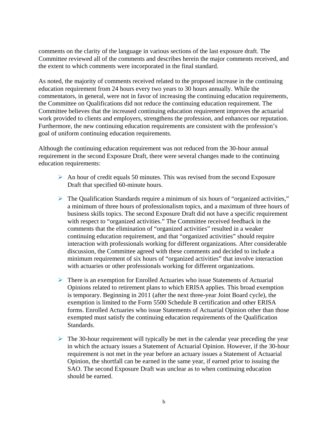comments on the clarity of the language in various sections of the last exposure draft. The Committee reviewed all of the comments and describes herein the major comments received, and the extent to which comments were incorporated in the final standard.

As noted, the majority of comments received related to the proposed increase in the continuing education requirement from 24 hours every two years to 30 hours annually. While the commentators, in general, were not in favor of increasing the continuing education requirements, the Committee on Qualifications did not reduce the continuing education requirement. The Committee believes that the increased continuing education requirement improves the actuarial work provided to clients and employers, strengthens the profession, and enhances our reputation. Furthermore, the new continuing education requirements are consistent with the profession's goal of uniform continuing education requirements.

Although the continuing education requirement was not reduced from the 30-hour annual requirement in the second Exposure Draft, there were several changes made to the continuing education requirements:

- $\triangleright$  An hour of credit equals 50 minutes. This was revised from the second Exposure Draft that specified 60-minute hours.
- ¾ The Qualification Standards require a minimum of six hours of "organized activities," a minimum of three hours of professionalism topics, and a maximum of three hours of business skills topics. The second Exposure Draft did not have a specific requirement with respect to "organized activities." The Committee received feedback in the comments that the elimination of "organized activities" resulted in a weaker continuing education requirement, and that "organized activities" should require interaction with professionals working for different organizations. After considerable discussion, the Committee agreed with these comments and decided to include a minimum requirement of six hours of "organized activities" that involve interaction with actuaries or other professionals working for different organizations.
- $\triangleright$  There is an exemption for Enrolled Actuaries who issue Statements of Actuarial Opinions related to retirement plans to which ERISA applies. This broad exemption is temporary. Beginning in 2011 (after the next three-year Joint Board cycle), the exemption is limited to the Form 5500 Schedule B certification and other ERISA forms. Enrolled Actuaries who issue Statements of Actuarial Opinion other than those exempted must satisfy the continuing education requirements of the Qualification Standards.
- $\triangleright$  The 30-hour requirement will typically be met in the calendar year preceding the year in which the actuary issues a Statement of Actuarial Opinion. However, if the 30-hour requirement is not met in the year before an actuary issues a Statement of Actuarial Opinion, the shortfall can be earned in the same year, if earned prior to issuing the SAO. The second Exposure Draft was unclear as to when continuing education should be earned.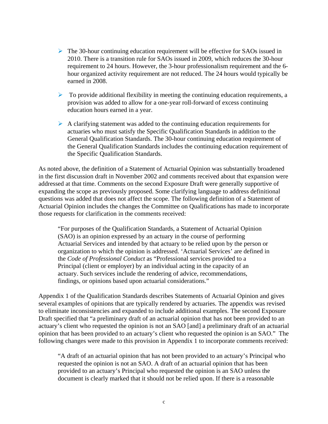- $\triangleright$  The 30-hour continuing education requirement will be effective for SAOs issued in 2010. There is a transition rule for SAOs issued in 2009, which reduces the 30-hour requirement to 24 hours. However, the 3-hour professionalism requirement and the 6 hour organized activity requirement are not reduced. The 24 hours would typically be earned in 2008.
- $\triangleright$  To provide additional flexibility in meeting the continuing education requirements, a provision was added to allow for a one-year roll-forward of excess continuing education hours earned in a year.
- $\triangleright$  A clarifying statement was added to the continuing education requirements for actuaries who must satisfy the Specific Qualification Standards in addition to the General Qualification Standards. The 30-hour continuing education requirement of the General Qualification Standards includes the continuing education requirement of the Specific Qualification Standards.

As noted above, the definition of a Statement of Actuarial Opinion was substantially broadened in the first discussion draft in November 2002 and comments received about that expansion were addressed at that time. Comments on the second Exposure Draft were generally supportive of expanding the scope as previously proposed. Some clarifying language to address definitional questions was added that does not affect the scope. The following definition of a Statement of Actuarial Opinion includes the changes the Committee on Qualifications has made to incorporate those requests for clarification in the comments received:

"For purposes of the Qualification Standards, a Statement of Actuarial Opinion (SAO) is an opinion expressed by an actuary in the course of performing Actuarial Services and intended by that actuary to be relied upon by the person or organization to which the opinion is addressed. 'Actuarial Services' are defined in the *Code of Professional Conduct* as "Professional services provided to a Principal (client or employer) by an individual acting in the capacity of an actuary. Such services include the rendering of advice, recommendations, findings, or opinions based upon actuarial considerations."

Appendix 1 of the Qualification Standards describes Statements of Actuarial Opinion and gives several examples of opinions that are typically rendered by actuaries. The appendix was revised to eliminate inconsistencies and expanded to include additional examples. The second Exposure Draft specified that "a preliminary draft of an actuarial opinion that has not been provided to an actuary's client who requested the opinion is not an SAO [and] a preliminary draft of an actuarial opinion that has been provided to an actuary's client who requested the opinion is an SAO." The following changes were made to this provision in Appendix 1 to incorporate comments received:

"A draft of an actuarial opinion that has not been provided to an actuary's Principal who requested the opinion is not an SAO. A draft of an actuarial opinion that has been provided to an actuary's Principal who requested the opinion is an SAO unless the document is clearly marked that it should not be relied upon. If there is a reasonable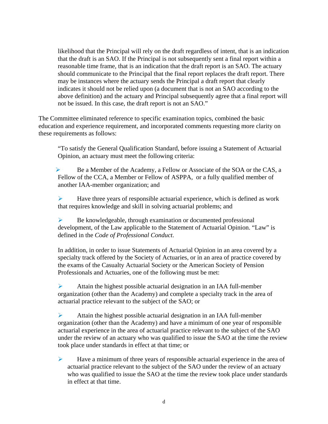likelihood that the Principal will rely on the draft regardless of intent, that is an indication that the draft is an SAO. If the Principal is not subsequently sent a final report within a reasonable time frame, that is an indication that the draft report is an SAO. The actuary should communicate to the Principal that the final report replaces the draft report. There may be instances where the actuary sends the Principal a draft report that clearly indicates it should not be relied upon (a document that is not an SAO according to the above definition) and the actuary and Principal subsequently agree that a final report will not be issued. In this case, the draft report is not an SAO."

The Committee eliminated reference to specific examination topics, combined the basic education and experience requirement, and incorporated comments requesting more clarity on these requirements as follows:

"To satisfy the General Qualification Standard, before issuing a Statement of Actuarial Opinion, an actuary must meet the following criteria:

Be a Member of the Academy, a Fellow or Associate of the SOA or the CAS, a Fellow of the CCA, a Member or Fellow of ASPPA, or a fully qualified member of another IAA-member organization; and

 $\blacktriangleright$  Have three years of responsible actuarial experience, which is defined as work that requires knowledge and skill in solving actuarial problems; and

¾ Be knowledgeable, through examination or documented professional development, of the Law applicable to the Statement of Actuarial Opinion. "Law" is defined in the *Code of Professional Conduct*.

In addition, in order to issue Statements of Actuarial Opinion in an area covered by a specialty track offered by the Society of Actuaries, or in an area of practice covered by the exams of the Casualty Actuarial Society or the American Society of Pension Professionals and Actuaries, one of the following must be met:

 $\triangleright$  Attain the highest possible actuarial designation in an IAA full-member organization (other than the Academy) and complete a specialty track in the area of actuarial practice relevant to the subject of the SAO; or

 $\triangleright$  Attain the highest possible actuarial designation in an IAA full-member organization (other than the Academy) and have a minimum of one year of responsible actuarial experience in the area of actuarial practice relevant to the subject of the SAO under the review of an actuary who was qualified to issue the SAO at the time the review took place under standards in effect at that time; or

 $\blacktriangleright$  Have a minimum of three years of responsible actuarial experience in the area of actuarial practice relevant to the subject of the SAO under the review of an actuary who was qualified to issue the SAO at the time the review took place under standards in effect at that time.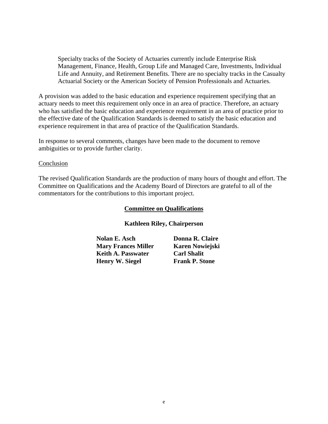Specialty tracks of the Society of Actuaries currently include Enterprise Risk Management, Finance, Health, Group Life and Managed Care, Investments, Individual Life and Annuity, and Retirement Benefits. There are no specialty tracks in the Casualty Actuarial Society or the American Society of Pension Professionals and Actuaries.

A provision was added to the basic education and experience requirement specifying that an actuary needs to meet this requirement only once in an area of practice. Therefore, an actuary who has satisfied the basic education and experience requirement in an area of practice prior to the effective date of the Qualification Standards is deemed to satisfy the basic education and experience requirement in that area of practice of the Qualification Standards.

In response to several comments, changes have been made to the document to remove ambiguities or to provide further clarity.

#### Conclusion

The revised Qualification Standards are the production of many hours of thought and effort. The Committee on Qualifications and the Academy Board of Directors are grateful to all of the commentators for the contributions to this important project.

#### **Committee on Qualifications**

#### **Kathleen Riley, Chairperson**

**Nolan E. Asch Donna R. Claire Mary Frances Miller Karen Nowiejski Keith A. Passwater Carl Shalit Henry W. Siegel Frank P. Stone**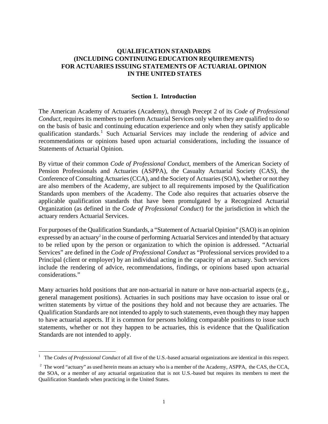## **QUALIFICATION STANDARDS (INCLUDING CONTINUING EDUCATION REQUIREMENTS) FOR ACTUARIES ISSUING STATEMENTS OF ACTUARIAL OPINION IN THE UNITED STATES**

#### **Section 1. Introduction**

The American Academy of Actuaries (Academy), through Precept 2 of its *Code of Professional Conduct*, requires its members to perform Actuarial Services only when they are qualified to do so on the basis of basic and continuing education experience and only when they satisfy applicable qualification standards.<sup>[1](#page-8-0)</sup> Such Actuarial Services may include the rendering of advice and recommendations or opinions based upon actuarial considerations, including the issuance of Statements of Actuarial Opinion.

By virtue of their common *Code of Professional Conduct*, members of the American Society of Pension Professionals and Actuaries (ASPPA), the Casualty Actuarial Society (CAS), the Conference of Consulting Actuaries (CCA), and the Society of Actuaries (SOA), whether or not they are also members of the Academy, are subject to all requirements imposed by the Qualification Standards upon members of the Academy. The Code also requires that actuaries observe the applicable qualification standards that have been promulgated by a Recognized Actuarial Organization (as defined in the *Code of Professional Conduct*) for the jurisdiction in which the actuary renders Actuarial Services.

For purposes of the Qualification Standards, a "Statement of Actuarial Opinion" (SAO) is an opinion expressed by an actuary<sup>2</sup> in the course of performing Actuarial Services and intended by that actuary to be relied upon by the person or organization to which the opinion is addressed. "Actuarial Services" are defined in the *Code of Professional Conduct* as "Professional services provided to a Principal (client or employer) by an individual acting in the capacity of an actuary. Such services include the rendering of advice, recommendations, findings, or opinions based upon actuarial considerations."

Many actuaries hold positions that are non-actuarial in nature or have non-actuarial aspects (e.g., general management positions). Actuaries in such positions may have occasion to issue oral or written statements by virtue of the positions they hold and not because they are actuaries. The Qualification Standards are not intended to apply to such statements, even though they may happen to have actuarial aspects. If it is common for persons holding comparable positions to issue such statements, whether or not they happen to be actuaries, this is evidence that the Qualification Standards are not intended to apply.

 $\overline{a}$ 

<span id="page-8-0"></span><sup>&</sup>lt;sup>1</sup> The *Codes of Professional Conduct* of all five of the U.S.-based actuarial organizations are identical in this respect.

 $2\degree$  The word "actuary" as used herein means an actuary who is a member of the Academy, ASPPA, the CAS, the CCA, the SOA, or a member of any actuarial organization that is not U.S.-based but requires its members to meet the Qualification Standards when practicing in the United States.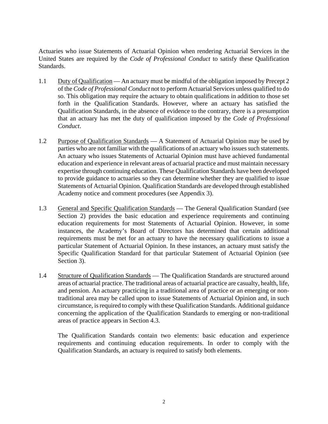Actuaries who issue Statements of Actuarial Opinion when rendering Actuarial Services in the United States are required by the *Code of Professional Conduct* to satisfy these Qualification Standards.

- 1.1 Duty of Qualification An actuary must be mindful of the obligation imposed by Precept 2 of the *Code of Professional Conduct* not to perform Actuarial Services unless qualified to do so. This obligation may require the actuary to obtain qualifications in addition to those set forth in the Qualification Standards. However, where an actuary has satisfied the Qualification Standards, in the absence of evidence to the contrary, there is a presumption that an actuary has met the duty of qualification imposed by the *Code of Professional Conduct*.
- 1.2 Purpose of Qualification Standards A Statement of Actuarial Opinion may be used by parties who are not familiar with the qualifications of an actuary who issues such statements. An actuary who issues Statements of Actuarial Opinion must have achieved fundamental education and experience in relevant areas of actuarial practice and must maintain necessary expertise through continuing education. These Qualification Standards have been developed to provide guidance to actuaries so they can determine whether they are qualified to issue Statements of Actuarial Opinion. Qualification Standards are developed through established Academy notice and comment procedures (see Appendix 3).
- 1.3 General and Specific Qualification Standards The General Qualification Standard (see Section 2) provides the basic education and experience requirements and continuing education requirements for most Statements of Actuarial Opinion. However, in some instances, the Academy's Board of Directors has determined that certain additional requirements must be met for an actuary to have the necessary qualifications to issue a particular Statement of Actuarial Opinion. In these instances, an actuary must satisfy the Specific Qualification Standard for that particular Statement of Actuarial Opinion (see Section 3).
- 1.4 Structure of Qualification Standards The Qualification Standards are structured around areas of actuarial practice. The traditional areas of actuarial practice are casualty, health, life, and pension. An actuary practicing in a traditional area of practice or an emerging or nontraditional area may be called upon to issue Statements of Actuarial Opinion and, in such circumstance, is required to comply with these Qualification Standards. Additional guidance concerning the application of the Qualification Standards to emerging or non-traditional areas of practice appears in Section 4.3.

The Qualification Standards contain two elements: basic education and experience requirements and continuing education requirements. In order to comply with the Qualification Standards, an actuary is required to satisfy both elements.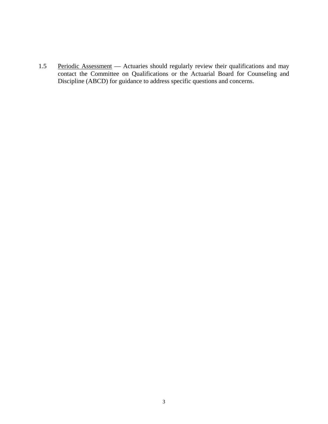1.5 Periodic Assessment — Actuaries should regularly review their qualifications and may contact the Committee on Qualifications or the Actuarial Board for Counseling and Discipline (ABCD) for guidance to address specific questions and concerns.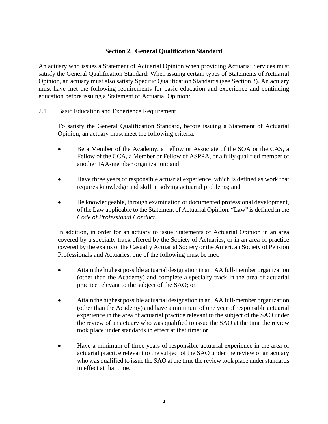## **Section 2. General Qualification Standard**

An actuary who issues a Statement of Actuarial Opinion when providing Actuarial Services must satisfy the General Qualification Standard. When issuing certain types of Statements of Actuarial Opinion, an actuary must also satisfy Specific Qualification Standards (see Section 3). An actuary must have met the following requirements for basic education and experience and continuing education before issuing a Statement of Actuarial Opinion:

## 2.1 Basic Education and Experience Requirement

 To satisfy the General Qualification Standard, before issuing a Statement of Actuarial Opinion, an actuary must meet the following criteria:

- Be a Member of the Academy, a Fellow or Associate of the SOA or the CAS, a Fellow of the CCA, a Member or Fellow of ASPPA, or a fully qualified member of another IAA-member organization; and
- Have three years of responsible actuarial experience, which is defined as work that requires knowledge and skill in solving actuarial problems; and
- Be knowledgeable, through examination or documented professional development, of the Law applicable to the Statement of Actuarial Opinion. "Law" is defined in the *Code of Professional Conduct*.

In addition, in order for an actuary to issue Statements of Actuarial Opinion in an area covered by a specialty track offered by the Society of Actuaries, or in an area of practice covered by the exams of the Casualty Actuarial Society or the American Society of Pension Professionals and Actuaries, one of the following must be met:

- Attain the highest possible actuarial designation in an IAA full-member organization (other than the Academy) and complete a specialty track in the area of actuarial practice relevant to the subject of the SAO; or
- Attain the highest possible actuarial designation in an IAA full-member organization (other than the Academy) and have a minimum of one year of responsible actuarial experience in the area of actuarial practice relevant to the subject of the SAO under the review of an actuary who was qualified to issue the SAO at the time the review took place under standards in effect at that time; or
- Have a minimum of three years of responsible actuarial experience in the area of actuarial practice relevant to the subject of the SAO under the review of an actuary who was qualified to issue the SAO at the time the review took place under standards in effect at that time.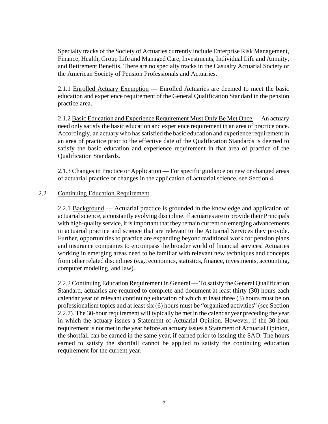Specialty tracks of the Society of Actuaries currently include Enterprise Risk Management, Finance, Health, Group Life and Managed Care, Investments, Individual Life and Annuity, and Retirement Benefits. There are no specialty tracks in the Casualty Actuarial Society or the American Society of Pension Professionals and Actuaries.

2.1.1 Enrolled Actuary Exemption — Enrolled Actuaries are deemed to meet the basic education and experience requirement of the General Qualification Standard in the pension practice area.

2.1.2 Basic Education and Experience Requirement Must Only Be Met Once — An actuary need only satisfy the basic education and experience requirement in an area of practice once. Accordingly, an actuary who has satisfied the basic education and experience requirement in an area of practice prior to the effective date of the Qualification Standards is deemed to satisfy the basic education and experience requirement in that area of practice of the Qualification Standards.

2.1.3 Changes in Practice or Application — For specific guidance on new or changed areas of actuarial practice or changes in the application of actuarial science, see Section 4.

#### 2.2 Continuing Education Requirement

2.2.1 Background — Actuarial practice is grounded in the knowledge and application of actuarial science, a constantly evolving discipline. If actuaries are to provide their Principals with high-quality service, it is important that they remain current on emerging advancements in actuarial practice and science that are relevant to the Actuarial Services they provide. Further, opportunities to practice are expanding beyond traditional work for pension plans and insurance companies to encompass the broader world of financial services. Actuaries working in emerging areas need to be familiar with relevant new techniques and concepts from other related disciplines (e.g., economics, statistics, finance, investments, accounting, computer modeling, and law).

2.2.2 Continuing Education Requirement in General — To satisfy the General Qualification Standard, actuaries are required to complete and document at least thirty (30) hours each calendar year of relevant continuing education of which at least three (3) hours must be on professionalism topics and at least six (6) hours must be "organized activities" (see Section 2.2.7). The 30-hour requirement will typically be met in the calendar year preceding the year in which the actuary issues a Statement of Actuarial Opinion. However, if the 30-hour requirement is not met in the year before an actuary issues a Statement of Actuarial Opinion, the shortfall can be earned in the same year, if earned prior to issuing the SAO. The hours earned to satisfy the shortfall cannot be applied to satisfy the continuing education requirement for the current year.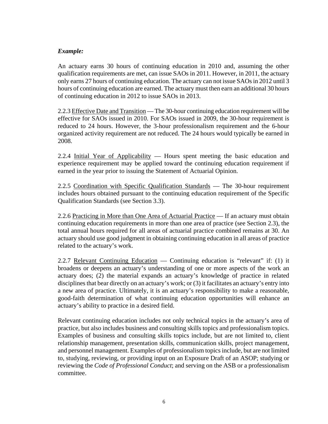## *Example:*

An actuary earns 30 hours of continuing education in 2010 and, assuming the other qualification requirements are met, can issue SAOs in 2011. However, in 2011, the actuary only earns 27 hours of continuing education. The actuary can not issue SAOs in 2012 until 3 hours of continuing education are earned. The actuary must then earn an additional 30 hours of continuing education in 2012 to issue SAOs in 2013.

2.2.3 Effective Date and Transition — The 30-hour continuing education requirement will be effective for SAOs issued in 2010. For SAOs issued in 2009, the 30-hour requirement is reduced to 24 hours. However, the 3-hour professionalism requirement and the 6-hour organized activity requirement are not reduced. The 24 hours would typically be earned in 2008.

2.2.4 Initial Year of Applicability — Hours spent meeting the basic education and experience requirement may be applied toward the continuing education requirement if earned in the year prior to issuing the Statement of Actuarial Opinion.

2.2.5 Coordination with Specific Qualification Standards — The 30-hour requirement includes hours obtained pursuant to the continuing education requirement of the Specific Qualification Standards (see Section 3.3).

2.2.6 Practicing in More than One Area of Actuarial Practice — If an actuary must obtain continuing education requirements in more than one area of practice (see Section 2.3), the total annual hours required for all areas of actuarial practice combined remains at 30. An actuary should use good judgment in obtaining continuing education in all areas of practice related to the actuary's work.

2.2.7 Relevant Continuing Education — Continuing education is "relevant" if: (1) it broadens or deepens an actuary's understanding of one or more aspects of the work an actuary does; (2) the material expands an actuary's knowledge of practice in related disciplines that bear directly on an actuary's work; or (3) it facilitates an actuary's entry into a new area of practice. Ultimately, it is an actuary's responsibility to make a reasonable, good-faith determination of what continuing education opportunities will enhance an actuary's ability to practice in a desired field.

Relevant continuing education includes not only technical topics in the actuary's area of practice, but also includes business and consulting skills topics and professionalism topics. Examples of business and consulting skills topics include, but are not limited to, client relationship management, presentation skills, communication skills, project management, and personnel management. Examples of professionalism topics include, but are not limited to, studying, reviewing, or providing input on an Exposure Draft of an ASOP; studying or reviewing the *Code of Professional Conduct*; and serving on the ASB or a professionalism committee.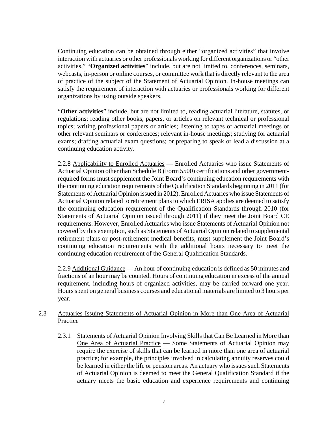Continuing education can be obtained through either "organized activities" that involve interaction with actuaries or other professionals working for different organizations or "other activities." "**Organized activities**" include, but are not limited to, conferences, seminars, webcasts, in-person or online courses, or committee work that is directly relevant to the area of practice of the subject of the Statement of Actuarial Opinion. In-house meetings can satisfy the requirement of interaction with actuaries or professionals working for different organizations by using outside speakers.

"**Other activities**" include, but are not limited to, reading actuarial literature, statutes, or regulations; reading other books, papers, or articles on relevant technical or professional topics; writing professional papers or articles; listening to tapes of actuarial meetings or other relevant seminars or conferences; relevant in-house meetings; studying for actuarial exams; drafting actuarial exam questions; or preparing to speak or lead a discussion at a continuing education activity.

2.2.8 Applicability to Enrolled Actuaries — Enrolled Actuaries who issue Statements of Actuarial Opinion other than Schedule B (Form 5500) certifications and other governmentrequired forms must supplement the Joint Board's continuing education requirements with the continuing education requirements of the Qualification Standards beginning in 2011 (for Statements of Actuarial Opinion issued in 2012). Enrolled Actuaries who issue Statements of Actuarial Opinion related to retirement plans to which ERISA applies are deemed to satisfy the continuing education requirement of the Qualification Standards through 2010 (for Statements of Actuarial Opinion issued through 2011) if they meet the Joint Board CE requirements. However, Enrolled Actuaries who issue Statements of Actuarial Opinion not covered by this exemption, such as Statements of Actuarial Opinion related to supplemental retirement plans or post-retirement medical benefits, must supplement the Joint Board's continuing education requirements with the additional hours necessary to meet the continuing education requirement of the General Qualification Standards.

2.2.9 Additional Guidance — An hour of continuing education is defined as 50 minutes and fractions of an hour may be counted. Hours of continuing education in excess of the annual requirement, including hours of organized activities, may be carried forward one year. Hours spent on general business courses and educational materials are limited to 3 hours per year.

## 2.3 Actuaries Issuing Statements of Actuarial Opinion in More than One Area of Actuarial Practice

2.3.1 Statements of Actuarial Opinion Involving Skills that Can Be Learned in More than One Area of Actuarial Practice — Some Statements of Actuarial Opinion may require the exercise of skills that can be learned in more than one area of actuarial practice; for example, the principles involved in calculating annuity reserves could be learned in either the life or pension areas. An actuary who issues such Statements of Actuarial Opinion is deemed to meet the General Qualification Standard if the actuary meets the basic education and experience requirements and continuing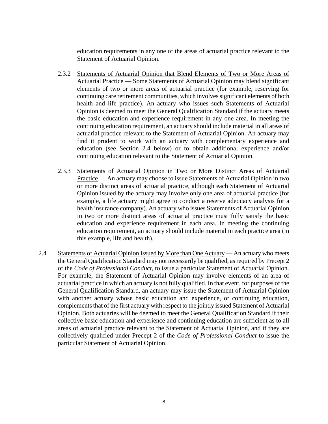education requirements in any one of the areas of actuarial practice relevant to the Statement of Actuarial Opinion.

- 2.3.2 Statements of Actuarial Opinion that Blend Elements of Two or More Areas of Actuarial Practice — Some Statements of Actuarial Opinion may blend significant elements of two or more areas of actuarial practice (for example, reserving for continuing care retirement communities, which involves significant elements of both health and life practice). An actuary who issues such Statements of Actuarial Opinion is deemed to meet the General Qualification Standard if the actuary meets the basic education and experience requirement in any one area. In meeting the continuing education requirement, an actuary should include material in all areas of actuarial practice relevant to the Statement of Actuarial Opinion. An actuary may find it prudent to work with an actuary with complementary experience and education (see Section 2.4 below) or to obtain additional experience and/or continuing education relevant to the Statement of Actuarial Opinion.
- 2.3.3 Statements of Actuarial Opinion in Two or More Distinct Areas of Actuarial Practice — An actuary may choose to issue Statements of Actuarial Opinion in two or more distinct areas of actuarial practice, although each Statement of Actuarial Opinion issued by the actuary may involve only one area of actuarial practice (for example, a life actuary might agree to conduct a reserve adequacy analysis for a health insurance company). An actuary who issues Statements of Actuarial Opinion in two or more distinct areas of actuarial practice must fully satisfy the basic education and experience requirement in each area. In meeting the continuing education requirement, an actuary should include material in each practice area (in this example, life and health).
- 2.4 Statements of Actuarial Opinion Issued by More than One Actuary An actuary who meets the General Qualification Standard may not necessarily be qualified, as required by Precept 2 of the *Code of Professional Conduct*, to issue a particular Statement of Actuarial Opinion. For example, the Statement of Actuarial Opinion may involve elements of an area of actuarial practice in which an actuary is not fully qualified. In that event, for purposes of the General Qualification Standard, an actuary may issue the Statement of Actuarial Opinion with another actuary whose basic education and experience, or continuing education, complements that of the first actuary with respect to the jointly issued Statement of Actuarial Opinion. Both actuaries will be deemed to meet the General Qualification Standard if their collective basic education and experience and continuing education are sufficient as to all areas of actuarial practice relevant to the Statement of Actuarial Opinion, and if they are collectively qualified under Precept 2 of the *Code of Professional Conduct* to issue the particular Statement of Actuarial Opinion.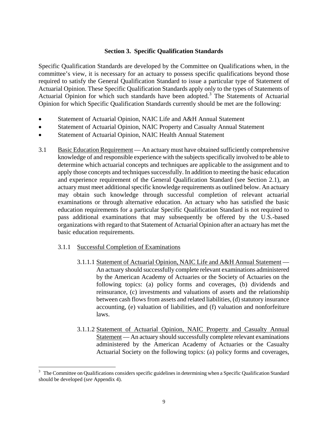## **Section 3. Specific Qualification Standards**

Specific Qualification Standards are developed by the Committee on Qualifications when, in the committee's view, it is necessary for an actuary to possess specific qualifications beyond those required to satisfy the General Qualification Standard to issue a particular type of Statement of Actuarial Opinion. These Specific Qualification Standards apply only to the types of Statements of Actuarial Opinion for which such standards have been adopted.<sup>[3](#page-16-0)</sup> The Statements of Actuarial Opinion for which Specific Qualification Standards currently should be met are the following:

- Statement of Actuarial Opinion, NAIC Life and A&H Annual Statement
- Statement of Actuarial Opinion, NAIC Property and Casualty Annual Statement
- Statement of Actuarial Opinion, NAIC Health Annual Statement
- 3.1 Basic Education Requirement An actuary must have obtained sufficiently comprehensive knowledge of and responsible experience with the subjects specifically involved to be able to determine which actuarial concepts and techniques are applicable to the assignment and to apply those concepts and techniques successfully. In addition to meeting the basic education and experience requirement of the General Qualification Standard (see Section 2.1), an actuary must meet additional specific knowledge requirements as outlined below. An actuary may obtain such knowledge through successful completion of relevant actuarial examinations or through alternative education. An actuary who has satisfied the basic education requirements for a particular Specific Qualification Standard is not required to pass additional examinations that may subsequently be offered by the U.S.-based organizations with regard to that Statement of Actuarial Opinion after an actuary has met the basic education requirements.

#### 3.1.1 Successful Completion of Examinations

 $\overline{a}$ 

- 3.1.1.1 Statement of Actuarial Opinion, NAIC Life and A&H Annual Statement An actuary should successfully complete relevant examinations administered by the American Academy of Actuaries or the Society of Actuaries on the following topics: (a) policy forms and coverages, (b) dividends and reinsurance, (c) investments and valuations of assets and the relationship between cash flows from assets and related liabilities, (d) statutory insurance accounting, (e) valuation of liabilities, and (f) valuation and nonforfeiture laws.
- 3.1.1.2 Statement of Actuarial Opinion, NAIC Property and Casualty Annual Statement — An actuary should successfully complete relevant examinations administered by the American Academy of Actuaries or the Casualty Actuarial Society on the following topics: (a) policy forms and coverages,

<span id="page-16-0"></span><sup>3</sup> The Committee on Qualifications considers specific guidelines in determining when a Specific Qualification Standard should be developed (*see* Appendix 4).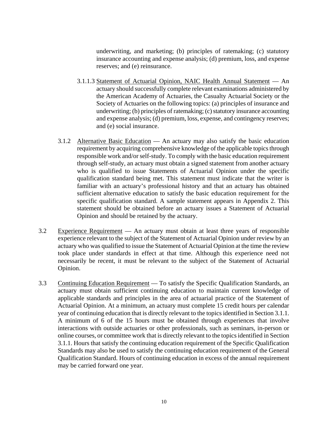underwriting, and marketing; (b) principles of ratemaking; (c) statutory insurance accounting and expense analysis; (d) premium, loss, and expense reserves; and (e) reinsurance.

- 3.1.1.3 Statement of Actuarial Opinion, NAIC Health Annual Statement An actuary should successfully complete relevant examinations administered by the American Academy of Actuaries, the Casualty Actuarial Society or the Society of Actuaries on the following topics: (a) principles of insurance and underwriting; (b) principles of ratemaking; (c) statutory insurance accounting and expense analysis; (d) premium, loss, expense, and contingency reserves; and (e) social insurance.
- 3.1.2 Alternative Basic Education An actuary may also satisfy the basic education requirement by acquiring comprehensive knowledge of the applicable topics through responsible work and/or self-study. To comply with the basic education requirement through self-study, an actuary must obtain a signed statement from another actuary who is qualified to issue Statements of Actuarial Opinion under the specific qualification standard being met. This statement must indicate that the writer is familiar with an actuary's professional history and that an actuary has obtained sufficient alternative education to satisfy the basic education requirement for the specific qualification standard. A sample statement appears in Appendix 2. This statement should be obtained before an actuary issues a Statement of Actuarial Opinion and should be retained by the actuary.
- 3.2 Experience Requirement An actuary must obtain at least three years of responsible experience relevant to the subject of the Statement of Actuarial Opinion under review by an actuary who was qualified to issue the Statement of Actuarial Opinion at the time the review took place under standards in effect at that time. Although this experience need not necessarily be recent, it must be relevant to the subject of the Statement of Actuarial Opinion.
- 3.3 Continuing Education Requirement To satisfy the Specific Qualification Standards, an actuary must obtain sufficient continuing education to maintain current knowledge of applicable standards and principles in the area of actuarial practice of the Statement of Actuarial Opinion. At a minimum, an actuary must complete 15 credit hours per calendar year of continuing education that is directly relevant to the topics identified in Section 3.1.1. A minimum of 6 of the 15 hours must be obtained through experiences that involve interactions with outside actuaries or other professionals, such as seminars, in-person or online courses, or committee work that is directly relevant to the topics identified in Section 3.1.1. Hours that satisfy the continuing education requirement of the Specific Qualification Standards may also be used to satisfy the continuing education requirement of the General Qualification Standard. Hours of continuing education in excess of the annual requirement may be carried forward one year.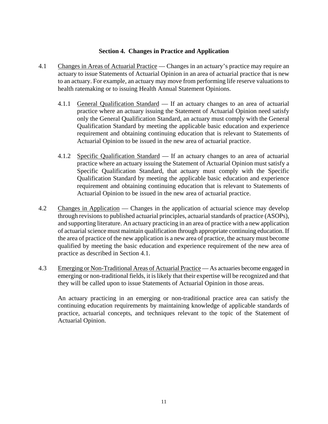## **Section 4. Changes in Practice and Application**

- 4.1 Changes in Areas of Actuarial Practice Changes in an actuary's practice may require an actuary to issue Statements of Actuarial Opinion in an area of actuarial practice that is new to an actuary. For example, an actuary may move from performing life reserve valuations to health ratemaking or to issuing Health Annual Statement Opinions.
	- 4.1.1 General Qualification Standard If an actuary changes to an area of actuarial practice where an actuary issuing the Statement of Actuarial Opinion need satisfy only the General Qualification Standard, an actuary must comply with the General Qualification Standard by meeting the applicable basic education and experience requirement and obtaining continuing education that is relevant to Statements of Actuarial Opinion to be issued in the new area of actuarial practice.
	- 4.1.2 Specific Qualification Standard If an actuary changes to an area of actuarial practice where an actuary issuing the Statement of Actuarial Opinion must satisfy a Specific Qualification Standard, that actuary must comply with the Specific Qualification Standard by meeting the applicable basic education and experience requirement and obtaining continuing education that is relevant to Statements of Actuarial Opinion to be issued in the new area of actuarial practice.
- 4.2 Changes in Application Changes in the application of actuarial science may develop through revisions to published actuarial principles, actuarial standards of practice (ASOPs), and supporting literature. An actuary practicing in an area of practice with a new application of actuarial science must maintain qualification through appropriate continuing education. If the area of practice of the new application is a new area of practice, the actuary must become qualified by meeting the basic education and experience requirement of the new area of practice as described in Section 4.1.
- 4.3 Emerging or Non-Traditional Areas of Actuarial Practice As actuaries become engaged in emerging or non-traditional fields, it is likely that their expertise will be recognized and that they will be called upon to issue Statements of Actuarial Opinion in those areas.

An actuary practicing in an emerging or non-traditional practice area can satisfy the continuing education requirements by maintaining knowledge of applicable standards of practice, actuarial concepts, and techniques relevant to the topic of the Statement of Actuarial Opinion.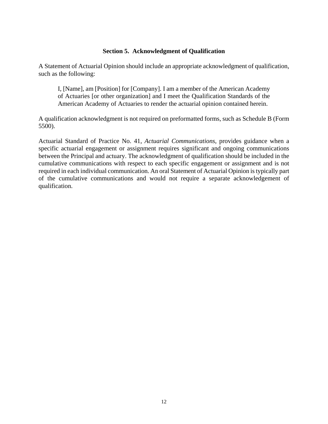## **Section 5. Acknowledgment of Qualification**

A Statement of Actuarial Opinion should include an appropriate acknowledgment of qualification, such as the following:

I, [Name], am [Position] for [Company]. I am a member of the American Academy of Actuaries [or other organization] and I meet the Qualification Standards of the American Academy of Actuaries to render the actuarial opinion contained herein.

A qualification acknowledgment is not required on preformatted forms, such as Schedule B (Form 5500).

Actuarial Standard of Practice No. 41, *Actuarial Communications*, provides guidance when a specific actuarial engagement or assignment requires significant and ongoing communications between the Principal and actuary. The acknowledgment of qualification should be included in the cumulative communications with respect to each specific engagement or assignment and is not required in each individual communication. An oral Statement of Actuarial Opinion is typically part of the cumulative communications and would not require a separate acknowledgement of qualification.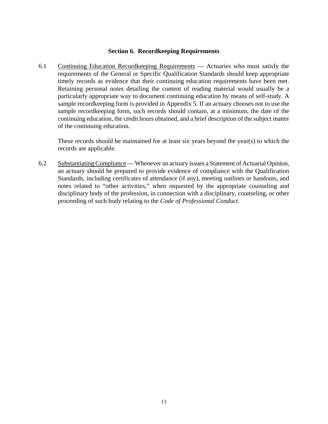#### **Section 6. Recordkeeping Requirements**

6.1 Continuing Education Recordkeeping Requirements — Actuaries who must satisfy the requirements of the General or Specific Qualification Standards should keep appropriate timely records as evidence that their continuing education requirements have been met. Retaining personal notes detailing the content of reading material would usually be a particularly appropriate way to document continuing education by means of self-study. A sample recordkeeping form is provided in Appendix 5. If an actuary chooses not to use the sample recordkeeping form, such records should contain, at a minimum, the date of the continuing education, the credit hours obtained, and a brief description of the subject matter of the continuing education.

These records should be maintained for at least six years beyond the year(s) to which the records are applicable.

6.2 Substantiating Compliance — Whenever an actuary issues a Statement of Actuarial Opinion, an actuary should be prepared to provide evidence of compliance with the Qualification Standards, including certificates of attendance (if any), meeting outlines or handouts, and notes related to "other activities," when requested by the appropriate counseling and disciplinary body of the profession, in connection with a disciplinary, counseling, or other proceeding of such body relating to the *Code of Professional Conduct*.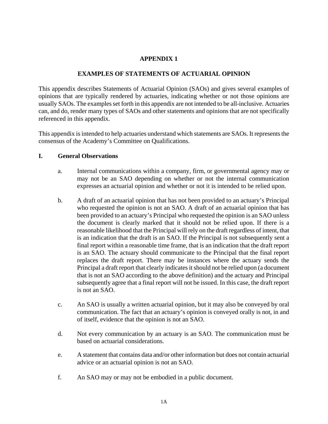## **APPENDIX 1**

## **EXAMPLES OF STATEMENTS OF ACTUARIAL OPINION**

This appendix describes Statements of Actuarial Opinion (SAOs) and gives several examples of opinions that are typically rendered by actuaries, indicating whether or not those opinions are usually SAOs. The examples set forth in this appendix are not intended to be all-inclusive. Actuaries can, and do, render many types of SAOs and other statements and opinions that are not specifically referenced in this appendix.

This appendix is intended to help actuaries understand which statements are SAOs. It represents the consensus of the Academy's Committee on Qualifications.

#### **I. General Observations**

- a. Internal communications within a company, firm, or governmental agency may or may not be an SAO depending on whether or not the internal communication expresses an actuarial opinion and whether or not it is intended to be relied upon.
- b. A draft of an actuarial opinion that has not been provided to an actuary's Principal who requested the opinion is not an SAO. A draft of an actuarial opinion that has been provided to an actuary's Principal who requested the opinion is an SAO unless the document is clearly marked that it should not be relied upon. If there is a reasonable likelihood that the Principal will rely on the draft regardless of intent, that is an indication that the draft is an SAO. If the Principal is not subsequently sent a final report within a reasonable time frame, that is an indication that the draft report is an SAO. The actuary should communicate to the Principal that the final report replaces the draft report. There may be instances where the actuary sends the Principal a draft report that clearly indicates it should not be relied upon (a document that is not an SAO according to the above definition) and the actuary and Principal subsequently agree that a final report will not be issued. In this case, the draft report is not an SAO.
- c. An SAO is usually a written actuarial opinion, but it may also be conveyed by oral communication. The fact that an actuary's opinion is conveyed orally is not, in and of itself, evidence that the opinion is not an SAO.
- d. Not every communication by an actuary is an SAO. The communication must be based on actuarial considerations.
- e. A statement that contains data and/or other information but does not contain actuarial advice or an actuarial opinion is not an SAO.
- f. An SAO may or may not be embodied in a public document.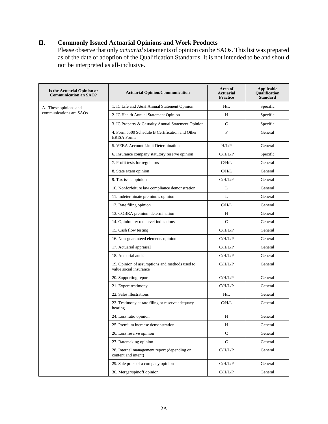## **II. Commonly Issued Actuarial Opinions and Work Products**

Please observe that only *actuarial* statements of opinion can be SAOs. This list was prepared as of the date of adoption of the Qualification Standards. It is not intended to be and should not be interpreted as all-inclusive.

| Is the Actuarial Opinion or<br><b>Communication an SAO?</b> | <b>Actuarial Opinion/Communication</b>                                   | Area of<br><b>Actuarial</b><br><b>Practice</b> | <b>Applicable</b><br><b>Oualification</b><br><b>Standard</b> |
|-------------------------------------------------------------|--------------------------------------------------------------------------|------------------------------------------------|--------------------------------------------------------------|
| A. These opinions and                                       | 1. IC Life and A&H Annual Statement Opinion                              | H/L                                            | Specific                                                     |
| communications are SAOs.                                    | 2. IC Health Annual Statement Opinion                                    | Н                                              | Specific                                                     |
|                                                             | 3. IC Property & Casualty Annual Statement Opinion                       | C                                              | Specific                                                     |
|                                                             | 4. Form 5500 Schedule B Certification and Other<br><b>ERISA Forms</b>    | P                                              | General                                                      |
|                                                             | 5. VEBA Account Limit Determination                                      | H/L/P                                          | General                                                      |
|                                                             | 6. Insurance company statutory reserve opinion                           | C/H/L/P                                        | Specific                                                     |
|                                                             | 7. Profit tests for regulators                                           | C/H/L                                          | General                                                      |
|                                                             | 8. State exam opinion                                                    | C/H/L                                          | General                                                      |
|                                                             | 9. Tax issue opinion                                                     | C/H/L/P                                        | General                                                      |
|                                                             | 10. Nonforfeiture law compliance demonstration                           | L                                              | General                                                      |
|                                                             | 11. Indeterminate premiums opinion                                       | L                                              | General                                                      |
|                                                             | 12. Rate filing opinion                                                  | C/H/L                                          | General                                                      |
|                                                             | 13. COBRA premium determination                                          | Н                                              | General                                                      |
|                                                             | 14. Opinion re: rate level indications                                   | $\mathsf{C}$                                   | General                                                      |
|                                                             | 15. Cash flow testing                                                    | C/H/L/P                                        | General                                                      |
|                                                             | 16. Non-guaranteed elements opinion                                      | C/H/L/P                                        | General                                                      |
|                                                             | 17. Actuarial appraisal                                                  | C/H/L/P                                        | General                                                      |
|                                                             | 18. Actuarial audit                                                      | C/H/L/P                                        | General                                                      |
|                                                             | 19. Opinion of assumptions and methods used to<br>value social insurance | C/H/L/P                                        | General                                                      |
|                                                             | 20. Supporting reports                                                   | C/H/L/P                                        | General                                                      |
|                                                             | 21. Expert testimony                                                     | C/H/L/P                                        | General                                                      |
|                                                             | 22. Sales illustrations                                                  | H/L                                            | General                                                      |
|                                                             | 23. Testimony at rate filing or reserve adequacy<br>hearing              | C/H/L                                          | General                                                      |
|                                                             | 24. Loss ratio opinion                                                   | Н                                              | General                                                      |
|                                                             | 25. Premium increase demonstration                                       | H                                              | General                                                      |
|                                                             | 26. Loss reserve opinion                                                 | $\mathsf{C}$                                   | General                                                      |
|                                                             | 27. Ratemaking opinion                                                   | $\mathsf C$                                    | General                                                      |
|                                                             | 28. Internal management report (depending on<br>content and intent)      | C/H/L/P                                        | General                                                      |
|                                                             | 29. Sale price of a company opinion                                      | C/H/L/P                                        | General                                                      |
|                                                             | 30. Merger/spinoff opinion                                               | C/H/L/P                                        | General                                                      |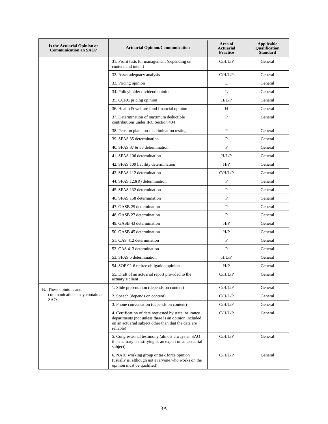| Is the Actuarial Opinion or<br><b>Communication an SAO?</b> | <b>Actuarial Opinion/Communication</b>                                                                                                                                             | Area of<br><b>Actuarial</b><br><b>Practice</b> | Applicable<br><b>Qualification</b><br><b>Standard</b> |
|-------------------------------------------------------------|------------------------------------------------------------------------------------------------------------------------------------------------------------------------------------|------------------------------------------------|-------------------------------------------------------|
|                                                             | 31. Profit tests for management (depending on<br>content and intent)                                                                                                               | C/H/L/P                                        | General                                               |
|                                                             | 32. Asset adequacy analysis                                                                                                                                                        | C/H/L/P                                        | General                                               |
|                                                             | 33. Pricing opinion                                                                                                                                                                | L                                              | General                                               |
|                                                             | 34. Policyholder dividend opinion                                                                                                                                                  | L                                              | General                                               |
|                                                             | 35. CCRC pricing opinion                                                                                                                                                           | H/L/P                                          | General                                               |
|                                                             | 36. Health & welfare fund financial opinion                                                                                                                                        | H                                              | General                                               |
|                                                             | 37. Determination of maximum deductible<br>contributions under IRC Section 404                                                                                                     | $\mathbf{P}$                                   | General                                               |
|                                                             | 38. Pension plan non-discrimination testing                                                                                                                                        | P                                              | General                                               |
|                                                             | 39. SFAS 35 determination                                                                                                                                                          | $\mathbf{P}$                                   | General                                               |
|                                                             | 40. SFAS 87 & 88 determination                                                                                                                                                     | P                                              | General                                               |
|                                                             | 41. SFAS 106 determination                                                                                                                                                         | H/L/P                                          | General                                               |
|                                                             | 42. SFAS 109 liability determination                                                                                                                                               | H/P                                            | General                                               |
|                                                             | 43. SFAS 112 determination                                                                                                                                                         | C/H/L/P                                        | General                                               |
|                                                             | 44. SFAS 123(R) determination                                                                                                                                                      | $\mathbf P$                                    | General                                               |
|                                                             | 45. SFAS 132 determination                                                                                                                                                         | P                                              | General                                               |
|                                                             | 46. SFAS 158 determination                                                                                                                                                         | P                                              | General                                               |
|                                                             | 47. GASB 25 determination                                                                                                                                                          | $\mathbf{P}$                                   | General                                               |
|                                                             | 48. GASB 27 determination                                                                                                                                                          | P                                              | General                                               |
|                                                             | 49. GASB 43 determination                                                                                                                                                          | H/P                                            | General                                               |
|                                                             | 50. GASB 45 determination                                                                                                                                                          | H/P                                            | General                                               |
|                                                             | 51. CAS 412 determination                                                                                                                                                          | P                                              | General                                               |
|                                                             | 52. CAS 413 determination                                                                                                                                                          | $\mathbf{P}$                                   | General                                               |
|                                                             | 53. SFAS 5 determination                                                                                                                                                           | H/L/P                                          | General                                               |
|                                                             | 54. SOP 92-6 retiree obligation opinion                                                                                                                                            | H/P                                            | General                                               |
|                                                             | 55. Draft of an actuarial report provided to the<br>actuary's client                                                                                                               | C/H/L/P                                        | General                                               |
| B. These opinions and                                       | 1. Slide presentation (depends on content)                                                                                                                                         | C/H/L/P                                        | General                                               |
| communications may contain an<br>SAO.                       | 2. Speech (depends on content)                                                                                                                                                     | C/H/L/P                                        | General                                               |
|                                                             | 3. Phone conversation (depends on content)                                                                                                                                         | C/H/L/P                                        | General                                               |
|                                                             | 4. Certification of data requested by state insurance<br>departments (not unless there is an opinion included<br>on an actuarial subject other than that the data are<br>reliable) | C/H/L/P                                        | General                                               |
|                                                             | 5. Congressional testimony (almost always an SAO<br>if an actuary is testifying as an expert on an actuarial<br>subject)                                                           | C/H/L/P                                        | General                                               |
|                                                             | 6. NAIC working group or task force opinion<br>(usually is, although not everyone who works on the<br>opinion must be qualified)                                                   | C/H/L/P                                        | General                                               |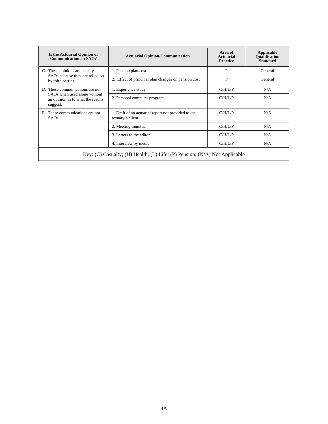| Is the Actuarial Opinion or<br><b>Communication an SAO?</b>                   | <b>Actuarial Opinion/Communication</b>                                  | Area of<br>Actuarial<br><b>Practice</b> | Applicable<br><b>Oualification</b><br><b>Standard</b> |  |  |
|-------------------------------------------------------------------------------|-------------------------------------------------------------------------|-----------------------------------------|-------------------------------------------------------|--|--|
| C. These opinions are usually                                                 | 1. Pension plan cost                                                    | P                                       | General                                               |  |  |
| SAOs because they are relied on<br>by third parties.                          | 2. Effect of principal plan changes on pension cost                     | P                                       | General                                               |  |  |
| D. These communications are not                                               | 1. Experience study                                                     | $C/H/I$ /P                              | N/A                                                   |  |  |
| SAOs when used alone without<br>an opinion as to what the results<br>suggest. | 2. Personal computer program                                            | C/H/L/P                                 | N/A                                                   |  |  |
| E. These communications are not<br>$SAOs$ .                                   | 1. Draft of an actuarial report not provided to the<br>actuary's client | $C/H/I$ /P                              | N/A                                                   |  |  |
|                                                                               | 2. Meeting minutes                                                      | $C/H/I$ /P                              | N/A                                                   |  |  |
|                                                                               | 3. Letters to the editor                                                | C/H/L/P                                 | N/A                                                   |  |  |
|                                                                               | 4. Interview by media                                                   | C/H/L/P                                 | N/A                                                   |  |  |
| Key: (C) Casualty; (H) Health; (L) Life; (P) Pension; $(N/A)$ Not Applicable  |                                                                         |                                         |                                                       |  |  |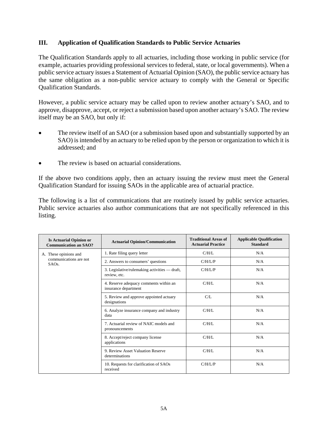## **III. Application of Qualification Standards to Public Service Actuaries**

The Qualification Standards apply to all actuaries, including those working in public service (for example, actuaries providing professional services to federal, state, or local governments). When a public service actuary issues a Statement of Actuarial Opinion (SAO), the public service actuary has the same obligation as a non-public service actuary to comply with the General or Specific Qualification Standards.

However, a public service actuary may be called upon to review another actuary's SAO, and to approve, disapprove, accept, or reject a submission based upon another actuary's SAO. The review itself may be an SAO, but only if:

- The review itself of an SAO (or a submission based upon and substantially supported by an SAO) is intended by an actuary to be relied upon by the person or organization to which it is addressed; and
- The review is based on actuarial considerations.

If the above two conditions apply, then an actuary issuing the review must meet the General Qualification Standard for issuing SAOs in the applicable area of actuarial practice.

The following is a list of communications that are routinely issued by public service actuaries. Public service actuaries also author communications that are not specifically referenced in this listing.

| <b>Is Actuarial Opinion or</b><br><b>Communication an SAO?</b> | <b>Actuarial Opinion/Communication</b>                         | <b>Traditional Areas of</b><br><b>Actuarial Practice</b> | <b>Applicable Qualification</b><br><b>Standard</b> |
|----------------------------------------------------------------|----------------------------------------------------------------|----------------------------------------------------------|----------------------------------------------------|
| A. These opinions and                                          | 1. Rate filing query letter                                    | C/H/L                                                    | N/A                                                |
| communications are not<br>SAO <sub>s</sub> .                   | 2. Answers to consumers' questions                             | C/H/L/P                                                  | N/A                                                |
|                                                                | 3. Legislative/rulemaking activities — draft,<br>review, etc.  | C/H/L/P                                                  | N/A                                                |
|                                                                | 4. Reserve adequacy comments within an<br>insurance department | C/H/L                                                    | N/A                                                |
|                                                                | 5. Review and approve appointed actuary<br>designations        | $C/I$ .                                                  | N/A                                                |
|                                                                | 6. Analyze insurance company and industry<br>data              | C/H/L                                                    | N/A                                                |
|                                                                | 7. Actuarial review of NAIC models and<br>pronouncements       | C/H/L                                                    | N/A                                                |
|                                                                | 8. Accept/reject company license<br>applications               | C/H/L                                                    | N/A                                                |
|                                                                | 9. Review Asset Valuation Reserve<br>determinations            | C/H/L                                                    | N/A                                                |
|                                                                | 10. Requests for clarification of SAOs<br>received             | C/H/L/P                                                  | N/A                                                |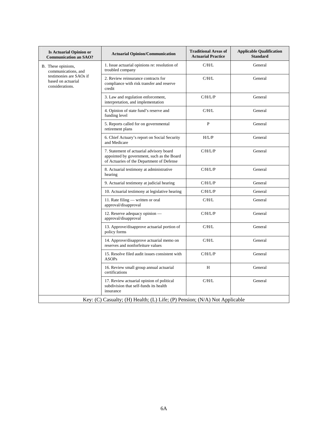| <b>Is Actuarial Opinion or</b><br><b>Communication an SAO?</b>             | <b>Actuarial Opinion/Communication</b>                                                                                              | <b>Traditional Areas of</b><br><b>Actuarial Practice</b> | <b>Applicable Qualification</b><br><b>Standard</b> |  |  |  |
|----------------------------------------------------------------------------|-------------------------------------------------------------------------------------------------------------------------------------|----------------------------------------------------------|----------------------------------------------------|--|--|--|
| B. These opinions,<br>communications, and                                  | 1. Issue actuarial opinions re: resolution of<br>troubled company                                                                   | C/H/L                                                    | General                                            |  |  |  |
| testimonies are SAOs if<br>based on actuarial<br>considerations.           | 2. Review reinsurance contracts for<br>compliance with risk transfer and reserve<br>credit                                          | C/H/L                                                    | General                                            |  |  |  |
|                                                                            | 3. Law and regulation enforcement,<br>interpretation, and implementation                                                            | C/H/L/P                                                  | General                                            |  |  |  |
|                                                                            | 4. Opinion of state fund's reserve and<br>funding level                                                                             | C/H/L                                                    | General                                            |  |  |  |
|                                                                            | 5. Reports called for on governmental<br>retirement plans                                                                           | $\mathbf{P}$                                             | General                                            |  |  |  |
|                                                                            | 6. Chief Actuary's report on Social Security<br>and Medicare                                                                        | H/L/P                                                    | General                                            |  |  |  |
|                                                                            | 7. Statement of actuarial advisory board<br>appointed by government, such as the Board<br>of Actuaries of the Department of Defense | C/H/L/P                                                  | General                                            |  |  |  |
|                                                                            | 8. Actuarial testimony at administrative<br>hearing                                                                                 | C/H/L/P                                                  | General                                            |  |  |  |
|                                                                            | 9. Actuarial testimony at judicial hearing                                                                                          | C/H/L/P                                                  | General                                            |  |  |  |
|                                                                            | 10. Actuarial testimony at legislative hearing                                                                                      | C/H/L/P                                                  | General                                            |  |  |  |
|                                                                            | 11. Rate filing - written or oral<br>approval/disapproval                                                                           | C/H/L                                                    | General                                            |  |  |  |
|                                                                            | 12. Reserve adequacy opinion -<br>approval/disapproval                                                                              | C/H/L/P                                                  | General                                            |  |  |  |
|                                                                            | 13. Approve/disapprove actuarial portion of<br>policy forms                                                                         | C/H/L                                                    | General                                            |  |  |  |
|                                                                            | 14. Approve/disapprove actuarial memo on<br>reserves and nonforfeiture values                                                       | C/H/L                                                    | General                                            |  |  |  |
|                                                                            | 15. Resolve filed audit issues consistent with<br><b>ASOPs</b>                                                                      | C/H/L/P                                                  | General                                            |  |  |  |
|                                                                            | 16. Review small group annual actuarial<br>certifications                                                                           | H                                                        | General                                            |  |  |  |
|                                                                            | 17. Review actuarial opinion of political<br>subdivision that self-funds its health<br>insurance                                    | C/H/L                                                    | General                                            |  |  |  |
| Key: (C) Casualty; (H) Health; (L) Life; (P) Pension; (N/A) Not Applicable |                                                                                                                                     |                                                          |                                                    |  |  |  |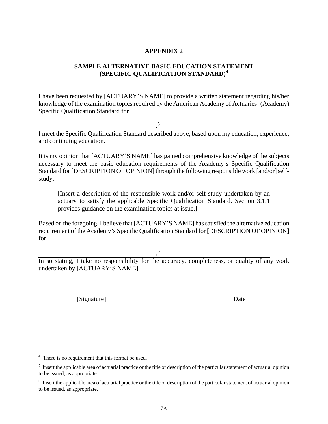## **APPENDIX 2**

## **SAMPLE ALTERNATIVE BASIC EDUCATION STATEMENT (SPECIFIC QUALIFICATION STANDARD)[4](#page-27-0)**

I have been requested by [ACTUARY'S NAME] to provide a written statement regarding his/her knowledge of the examination topics required by the American Academy of Actuaries' (Academy) Specific Qualification Standard for

.[5](#page-27-1)

I meet the Specific Qualification Standard described above, based upon my education, experience, and continuing education.

It is my opinion that [ACTUARY'S NAME] has gained comprehensive knowledge of the subjects necessary to meet the basic education requirements of the Academy's Specific Qualification Standard for [DESCRIPTION OF OPINION] through the following responsible work [and/or] selfstudy:

[Insert a description of the responsible work and/or self-study undertaken by an actuary to satisfy the applicable Specific Qualification Standard. Section 3.1.1 provides guidance on the examination topics at issue.]

Based on the foregoing, I believe that [ACTUARY'S NAME] has satisfied the alternative education requirement of the Academy's Specific Qualification Standard for [DESCRIPTION OF OPINION] for

.[6](#page-27-2)

In so stating, I take no responsibility for the accuracy, completeness, or quality of any work undertaken by [ACTUARY'S NAME].

[Signature] [Date]

 $\overline{a}$ 

<span id="page-27-0"></span><sup>&</sup>lt;sup>4</sup> There is no requirement that this format be used.

<span id="page-27-1"></span> $<sup>5</sup>$  Insert the applicable area of actuarial practice or the title or description of the particular statement of actuarial opinion</sup> to be issued, as appropriate.

<span id="page-27-2"></span> $6\,$  Insert the applicable area of actuarial practice or the title or description of the particular statement of actuarial opinion to be issued, as appropriate.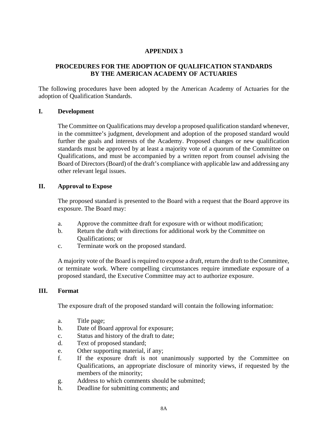## **APPENDIX 3**

## **PROCEDURES FOR THE ADOPTION OF QUALIFICATION STANDARDS BY THE AMERICAN ACADEMY OF ACTUARIES**

The following procedures have been adopted by the American Academy of Actuaries for the adoption of Qualification Standards.

#### **I. Development**

The Committee on Qualifications may develop a proposed qualification standard whenever, in the committee's judgment, development and adoption of the proposed standard would further the goals and interests of the Academy. Proposed changes or new qualification standards must be approved by at least a majority vote of a quorum of the Committee on Qualifications, and must be accompanied by a written report from counsel advising the Board of Directors (Board) of the draft's compliance with applicable law and addressing any other relevant legal issues.

#### **II. Approval to Expose**

The proposed standard is presented to the Board with a request that the Board approve its exposure. The Board may:

- a. Approve the committee draft for exposure with or without modification;
- b. Return the draft with directions for additional work by the Committee on Qualifications; or
- c. Terminate work on the proposed standard.

A majority vote of the Board is required to expose a draft, return the draft to the Committee, or terminate work. Where compelling circumstances require immediate exposure of a proposed standard, the Executive Committee may act to authorize exposure.

#### **III. Format**

The exposure draft of the proposed standard will contain the following information:

- a. Title page;
- b. Date of Board approval for exposure;
- c. Status and history of the draft to date;
- d. Text of proposed standard;
- e. Other supporting material, if any;
- f. If the exposure draft is not unanimously supported by the Committee on Qualifications, an appropriate disclosure of minority views, if requested by the members of the minority;
- g. Address to which comments should be submitted;
- h. Deadline for submitting comments; and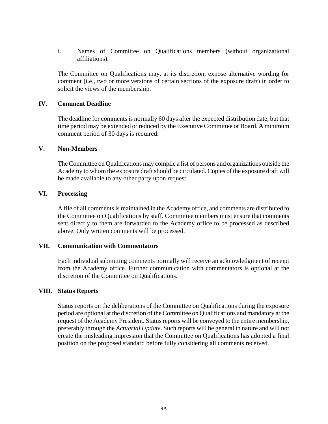i. Names of Committee on Qualifications members (without organizational affiliations).

The Committee on Qualifications may, at its discretion, expose alternative wording for comment (i.e., two or more versions of certain sections of the exposure draft) in order to solicit the views of the membership.

#### **IV. Comment Deadline**

The deadline for comments is normally 60 days after the expected distribution date, but that time period may be extended or reduced by the Executive Committee or Board. A minimum comment period of 30 days is required.

#### **V. Non-Members**

The Committee on Qualifications may compile a list of persons and organizations outside the Academy to whom the exposure draft should be circulated. Copies of the exposure draft will be made available to any other party upon request.

#### **VI. Processing**

A file of all comments is maintained in the Academy office, and comments are distributed to the Committee on Qualifications by staff. Committee members must ensure that comments sent directly to them are forwarded to the Academy office to be processed as described above. Only written comments will be processed.

#### **VII. Communication with Commentators**

Each individual submitting comments normally will receive an acknowledgment of receipt from the Academy office. Further communication with commentators is optional at the discretion of the Committee on Qualifications.

#### **VIII. Status Reports**

Status reports on the deliberations of the Committee on Qualifications during the exposure period are optional at the discretion of the Committee on Qualifications and mandatory at the request of the Academy President. Status reports will be conveyed to the entire membership, preferably through the *Actuarial Update*. Such reports will be general in nature and will not create the misleading impression that the Committee on Qualifications has adopted a final position on the proposed standard before fully considering all comments received.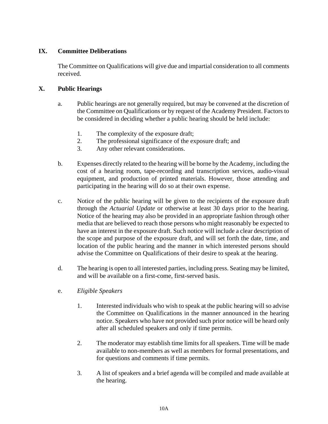## **IX. Committee Deliberations**

The Committee on Qualifications will give due and impartial consideration to all comments received.

## **X. Public Hearings**

- a. Public hearings are not generally required, but may be convened at the discretion of the Committee on Qualifications or by request of the Academy President. Factors to be considered in deciding whether a public hearing should be held include:
	- 1. The complexity of the exposure draft;
	- 2. The professional significance of the exposure draft; and
	- 3. Any other relevant considerations.
- b. Expenses directly related to the hearing will be borne by the Academy, including the cost of a hearing room, tape-recording and transcription services, audio-visual equipment, and production of printed materials. However, those attending and participating in the hearing will do so at their own expense.
- c. Notice of the public hearing will be given to the recipients of the exposure draft through the *Actuarial Update* or otherwise at least 30 days prior to the hearing. Notice of the hearing may also be provided in an appropriate fashion through other media that are believed to reach those persons who might reasonably be expected to have an interest in the exposure draft. Such notice will include a clear description of the scope and purpose of the exposure draft, and will set forth the date, time, and location of the public hearing and the manner in which interested persons should advise the Committee on Qualifications of their desire to speak at the hearing.
- d. The hearing is open to all interested parties, including press. Seating may be limited, and will be available on a first-come, first-served basis.
- e. *Eligible Speakers*
	- 1. Interested individuals who wish to speak at the public hearing will so advise the Committee on Qualifications in the manner announced in the hearing notice. Speakers who have not provided such prior notice will be heard only after all scheduled speakers and only if time permits.
	- 2. The moderator may establish time limits for all speakers. Time will be made available to non-members as well as members for formal presentations, and for questions and comments if time permits.
	- 3. A list of speakers and a brief agenda will be compiled and made available at the hearing.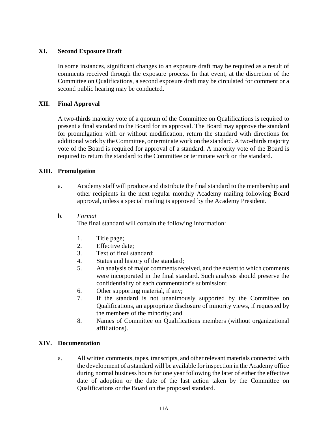## **XI. Second Exposure Draft**

In some instances, significant changes to an exposure draft may be required as a result of comments received through the exposure process. In that event, at the discretion of the Committee on Qualifications, a second exposure draft may be circulated for comment or a second public hearing may be conducted.

## **XII. Final Approval**

A two-thirds majority vote of a quorum of the Committee on Qualifications is required to present a final standard to the Board for its approval. The Board may approve the standard for promulgation with or without modification, return the standard with directions for additional work by the Committee, or terminate work on the standard. A two-thirds majority vote of the Board is required for approval of a standard. A majority vote of the Board is required to return the standard to the Committee or terminate work on the standard.

#### **XIII. Promulgation**

- a. Academy staff will produce and distribute the final standard to the membership and other recipients in the next regular monthly Academy mailing following Board approval, unless a special mailing is approved by the Academy President.
- b. *Format*

The final standard will contain the following information:

- 1. Title page;
- 2. Effective date;
- 3. Text of final standard;
- 4. Status and history of the standard;
- 5. An analysis of major comments received, and the extent to which comments were incorporated in the final standard. Such analysis should preserve the confidentiality of each commentator's submission;
- 6. Other supporting material, if any;
- 7. If the standard is not unanimously supported by the Committee on Qualifications, an appropriate disclosure of minority views, if requested by the members of the minority; and
- 8. Names of Committee on Qualifications members (without organizational affiliations).

#### **XIV. Documentation**

a. All written comments, tapes, transcripts, and other relevant materials connected with the development of a standard will be available for inspection in the Academy office during normal business hours for one year following the later of either the effective date of adoption or the date of the last action taken by the Committee on Qualifications or the Board on the proposed standard.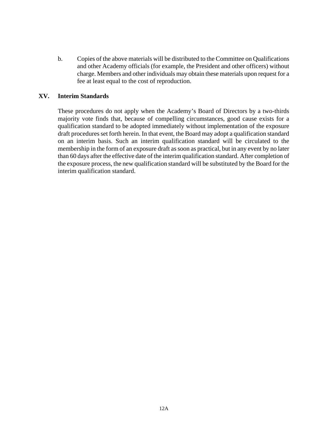b. Copies of the above materials will be distributed to the Committee on Qualifications and other Academy officials (for example, the President and other officers) without charge. Members and other individuals may obtain these materials upon request for a fee at least equal to the cost of reproduction.

## **XV. Interim Standards**

These procedures do not apply when the Academy's Board of Directors by a two-thirds majority vote finds that, because of compelling circumstances, good cause exists for a qualification standard to be adopted immediately without implementation of the exposure draft procedures set forth herein. In that event, the Board may adopt a qualification standard on an interim basis. Such an interim qualification standard will be circulated to the membership in the form of an exposure draft as soon as practical, but in any event by no later than 60 days after the effective date of the interim qualification standard. After completion of the exposure process, the new qualification standard will be substituted by the Board for the interim qualification standard.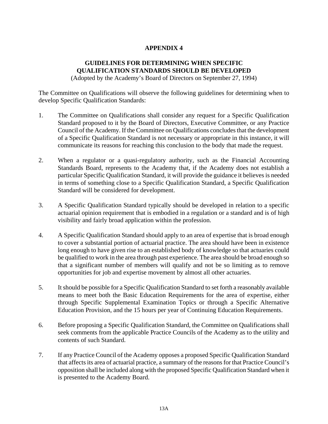## **APPENDIX 4**

# **GUIDELINES FOR DETERMINING WHEN SPECIFIC QUALIFICATION STANDARDS SHOULD BE DEVELOPED**

(Adopted by the Academy's Board of Directors on September 27, 1994)

The Committee on Qualifications will observe the following guidelines for determining when to develop Specific Qualification Standards:

- 1. The Committee on Qualifications shall consider any request for a Specific Qualification Standard proposed to it by the Board of Directors, Executive Committee, or any Practice Council of the Academy. If the Committee on Qualifications concludes that the development of a Specific Qualification Standard is not necessary or appropriate in this instance, it will communicate its reasons for reaching this conclusion to the body that made the request.
- 2. When a regulator or a quasi-regulatory authority, such as the Financial Accounting Standards Board, represents to the Academy that, if the Academy does not establish a particular Specific Qualification Standard, it will provide the guidance it believes is needed in terms of something close to a Specific Qualification Standard, a Specific Qualification Standard will be considered for development.
- 3. A Specific Qualification Standard typically should be developed in relation to a specific actuarial opinion requirement that is embodied in a regulation or a standard and is of high visibility and fairly broad application within the profession.
- 4. A Specific Qualification Standard should apply to an area of expertise that is broad enough to cover a substantial portion of actuarial practice. The area should have been in existence long enough to have given rise to an established body of knowledge so that actuaries could be qualified to work in the area through past experience. The area should be broad enough so that a significant number of members will qualify and not be so limiting as to remove opportunities for job and expertise movement by almost all other actuaries.
- 5. It should be possible for a Specific Qualification Standard to set forth a reasonably available means to meet both the Basic Education Requirements for the area of expertise, either through Specific Supplemental Examination Topics or through a Specific Alternative Education Provision, and the 15 hours per year of Continuing Education Requirements.
- 6. Before proposing a Specific Qualification Standard, the Committee on Qualifications shall seek comments from the applicable Practice Councils of the Academy as to the utility and contents of such Standard.
- 7. If any Practice Council of the Academy opposes a proposed Specific Qualification Standard that affects its area of actuarial practice, a summary of the reasons for that Practice Council's opposition shall be included along with the proposed Specific Qualification Standard when it is presented to the Academy Board.